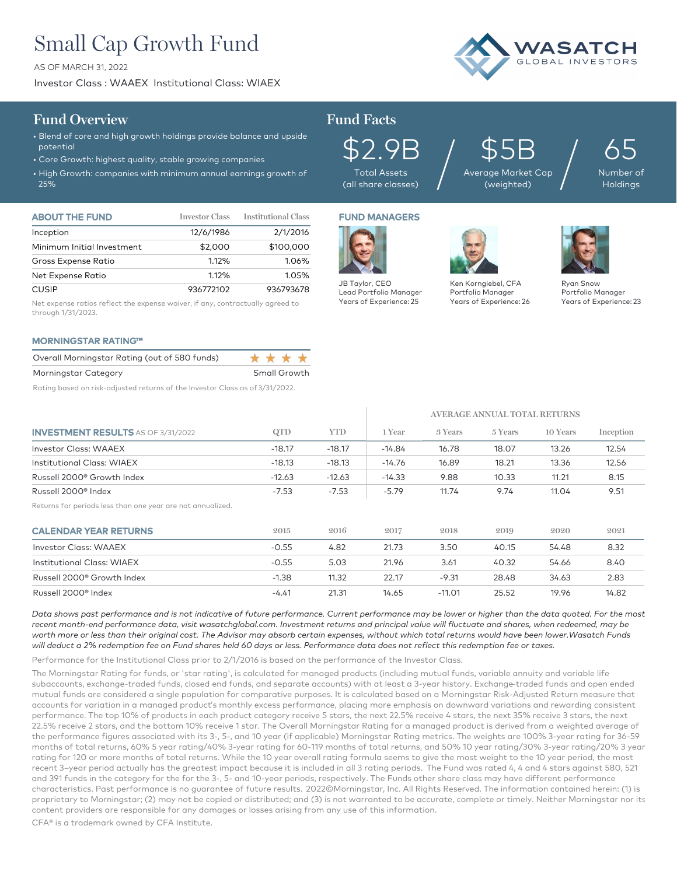# Small Cap Growth Fund

AS OF MARCH 31, 2022

Investor Class : WAAEX Institutional Class: WIAEX



## **Fund Overview Fund Facts**

## • Blend of core and high growth holdings provide balance and upside potential

- Core Growth: highest quality, stable growing companies
- High Growth: companies with minimum annual earnings growth of 25%

\$2.9B Total Assets (all share classes)

\$5B Average Market Cap  $\mathfrak{P5B}_{\tiny{\mathsf{age}}\, \tiny{\mathsf{Market Cap}}} \Big/$ 

65 Number of **Holdings** 

| <b>ABOUT THE FUND</b>      | <b>Investor Class</b> | <b>Institutional Class</b> |  |
|----------------------------|-----------------------|----------------------------|--|
| Inception                  | 12/6/1986             | 2/1/2016                   |  |
| Minimum Initial Investment | \$2,000               | \$100,000                  |  |
| Gross Expense Ratio        | 1.12%                 | 1.06%                      |  |
| Net Expense Ratio          | 1.12%                 | 1.05%                      |  |
| <b>CUSIP</b>               | 936772102             | 936793678                  |  |

Net expense ratios reflect the expense waiver, if any, contractually agreed to through 1/31/2023.

## MORNINGSTAR RATING™

| Overall Morningstar Rating (out of 580 funds)                                                                   | * * * * *         |
|-----------------------------------------------------------------------------------------------------------------|-------------------|
| Morningstar Category                                                                                            | Small Growth      |
| the contract of the contract of the contract of the contract of the contract of the contract of the contract of | 0 - 1- - 1- - - - |

Rating based on risk-adjusted returns of the Investor Class as of 3/31/2022.

# FUND MANAGERS



Years of Experience: 25 Years of Experience: 26

Ken Korngiebel, CFA Portfolio Manager

**AVERAGE ANNUAL TOTAL RETURNS**



Ryan Snow Portfolio Manager Years of Experience: 23

| <b>INVESTMENT RESULTS AS OF 3/31/2022</b>                  | QTD      | <b>YTD</b> | 1 Year   | 3 Years  | 5 Years | 10 Years | Inception |
|------------------------------------------------------------|----------|------------|----------|----------|---------|----------|-----------|
| <b>Investor Class: WAAEX</b>                               | $-18.17$ | $-18.17$   | $-14.84$ | 16.78    | 18.07   | 13.26    | 12.54     |
| Institutional Class: WIAEX                                 | $-18.13$ | $-18.13$   | $-14.76$ | 16.89    | 18.21   | 13.36    | 12.56     |
| Russell 2000 <sup>®</sup> Growth Index                     | $-12.63$ | $-12.63$   | $-14.33$ | 9.88     | 10.33   | 11.21    | 8.15      |
| Russell 2000 <sup>®</sup> Index                            | $-7.53$  | $-7.53$    | $-5.79$  | 11.74    | 9.74    | 11.04    | 9.51      |
| Returns for periods less than one year are not annualized. |          |            |          |          |         |          |           |
| <b>CALENDAR YEAR RETURNS</b>                               | 2015     | 2016       | 2017     | 2018     | 2019    | 2020     | 2021      |
| <b>Investor Class: WAAEX</b>                               | $-0.55$  | 4.82       | 21.73    | 3.50     | 40.15   | 54.48    | 8.32      |
| Institutional Class: WIAEX                                 | $-0.55$  | 5.03       | 21.96    | 3.61     | 40.32   | 54.66    | 8.40      |
| Russell 2000 <sup>®</sup> Growth Index                     | $-1.38$  | 11.32      | 22.17    | $-9.31$  | 28.48   | 34.63    | 2.83      |
| Russell 2000 <sup>®</sup> Index                            | $-4.41$  | 21.31      | 14.65    | $-11.01$ | 25.52   | 19.96    | 14.82     |

*Data shows past performance and is not indicative of future performance. Current performance may be lower or higher than the data quoted. For the most*  recent month-end performance data, visit wasatchglobal.com. Investment returns and principal value will fluctuate and shares, when redeemed, may be *worth more or less than their original cost. The Advisor may absorb certain expenses, without which total returns would have been lower.Wasatch Funds will deduct a 2% redemption fee on Fund shares held 60 days or less. Performance data does not reflect this redemption fee or taxes.*

Performance for the Institutional Class prior to 2/1/2016 is based on the performance of the Investor Class.

The Morningstar Rating for funds, or 'star rating', is calculated for managed products (including mutual funds, variable annuity and variable life subaccounts, exchange-traded funds, closed end funds, and separate accounts) with at least a 3-year history. Exchange–traded funds and open ended mutual funds are considered a single population for comparative purposes. It is calculated based on a Morningstar Risk-Adjusted Return measure that accounts for variation in a managed product's monthly excess performance, placing more emphasis on downward variations and rewarding consistent performance. The top 10% of products in each product category receive 5 stars, the next 22.5% receive 4 stars, the next 35% receive 3 stars, the next 22.5% receive 2 stars, and the bottom 10% receive 1 star. The Overall Morningstar Rating for a managed product is derived from a weighted average of the performance figures associated with its 3-, 5-, and 10 year (if applicable) Morningstar Rating metrics. The weights are 100% 3-year rating for 36-59 months of total returns, 60% 5 year rating/40% 3-year rating for 60-119 months of total returns, and 50% 10 year rating/30% 3-year rating/20% 3 year rating for 120 or more months of total returns. While the 10 year overall rating formula seems to give the most weight to the 10 year period, the most recent 3–year period actually has the greatest impact because it is included in all 3 rating periods. The Fund was rated 4, 4 and 4 stars against 580, 521 and 391 funds in the category for the for the 3-, 5- and 10-year periods, respectively. The Funds other share class may have different performance characteristics. Past performance is no guarantee of future results. 2022©Morningstar, Inc. All Rights Reserved. The information contained herein: (1) is proprietary to Morningstar; (2) may not be copied or distributed; and (3) is not warranted to be accurate, complete or timely. Neither Morningstar nor its content providers are responsible for any damages or losses arising from any use of this information.

CFA® is a trademark owned by CFA Institute.